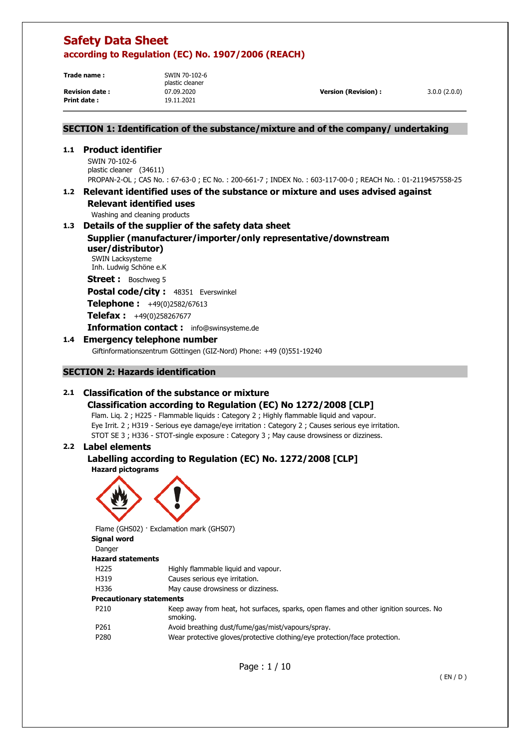| Trade name:           | SWIN 70-102-6<br>plastic cleaner |                      |              |
|-----------------------|----------------------------------|----------------------|--------------|
| <b>Revision date:</b> | 07.09.2020                       | Version (Revision) : | 3.0.0(2.0.0) |
| Print date:           | 19.11.2021                       |                      |              |
|                       |                                  |                      |              |

## **SECTION 1: Identification of the substance/mixture and of the company/ undertaking**

## **1.1 Product identifier**

SWIN 70-102-6 plastic cleaner (34611) PROPAN-2-OL ; CAS No. : 67-63-0 ; EC No. : 200-661-7 ; INDEX No. : 603-117-00-0 ; REACH No. : 01-2119457558-25

## **1.2 Relevant identified uses of the substance or mixture and uses advised against Relevant identified uses**

Washing and cleaning products

## **1.3 Details of the supplier of the safety data sheet**

**Supplier (manufacturer/importer/only representative/downstream user/distributor)**  SWIN Lacksysteme Inh. Ludwig Schöne e.K **Street :** Boschweg 5 Postal code/city : 48351 Everswinkel **Telephone :** +49(0)2582/67613 **Telefax :** +49(0)258267677 **Information contact :** info@swinsysteme.de **1.4 Emergency telephone number** 

Giftinformationszentrum Göttingen (GIZ-Nord) Phone: +49 (0)551-19240

## **SECTION 2: Hazards identification**

# **2.1 Classification of the substance or mixture**

## **Classification according to Regulation (EC) No 1272/2008 [CLP]**

Flam. Liq. 2 ; H225 - Flammable liquids : Category 2 ; Highly flammable liquid and vapour. Eye Irrit. 2 ; H319 - Serious eye damage/eye irritation : Category 2 ; Causes serious eye irritation. STOT SE 3 ; H336 - STOT-single exposure : Category 3 ; May cause drowsiness or dizziness.

## **2.2 Label elements**

# **Labelling according to Regulation (EC) No. 1272/2008 [CLP]**

**Hazard pictograms** 



Flame (GHS02) · Exclamation mark (GHS07)

**Signal word** 

Danger **Hazard statements** 

| Hazard statements               |                                                                                                   |
|---------------------------------|---------------------------------------------------------------------------------------------------|
| H <sub>225</sub>                | Highly flammable liquid and vapour.                                                               |
| H319                            | Causes serious eye irritation.                                                                    |
| H336                            | May cause drowsiness or dizziness.                                                                |
| <b>Precautionary statements</b> |                                                                                                   |
| P <sub>210</sub>                | Keep away from heat, hot surfaces, sparks, open flames and other ignition sources. No<br>smoking. |
| P <sub>261</sub>                | Avoid breathing dust/fume/gas/mist/vapours/spray.                                                 |
| P <sub>280</sub>                | Wear protective gloves/protective clothing/eye protection/face protection.                        |
|                                 |                                                                                                   |

Page : 1 / 10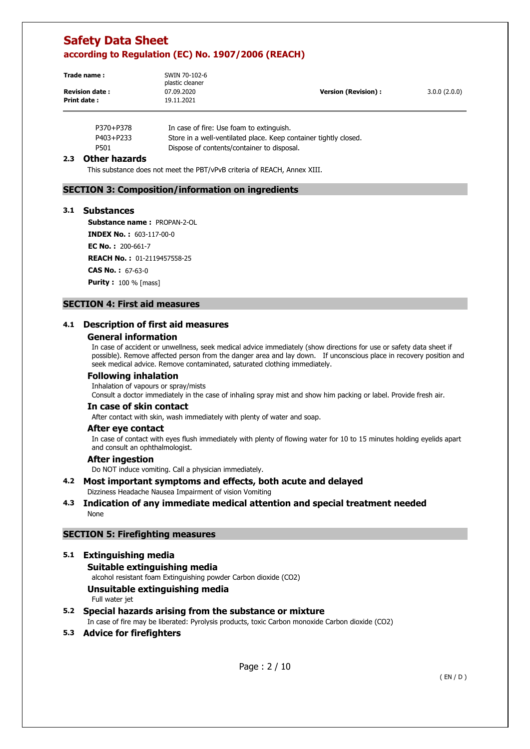| Trade name:           | SWIN 70-102-6<br>plastic cleaner |                      |              |
|-----------------------|----------------------------------|----------------------|--------------|
| <b>Revision date:</b> | 07.09.2020                       | Version (Revision) : | 3.0.0(2.0.0) |
| Print date:           | 19.11.2021                       |                      |              |

| P370+P378 | In case of fire: Use foam to extinguish.                         |
|-----------|------------------------------------------------------------------|
| P403+P233 | Store in a well-ventilated place. Keep container tightly closed. |
| P501      | Dispose of contents/container to disposal.                       |

#### **2.3 Other hazards**

This substance does not meet the PBT/vPvB criteria of REACH, Annex XIII.

## **SECTION 3: Composition/information on ingredients**

#### **3.1 Substances**

**Substance name :** PROPAN-2-OL

**INDEX No. :** 603-117-00-0

**EC No. :** 200-661-7

**REACH No. :** 01-2119457558-25

**CAS No. :** 67-63-0

**Purity :** 100 % [mass]

#### **SECTION 4: First aid measures**

## **4.1 Description of first aid measures**

#### **General information**

In case of accident or unwellness, seek medical advice immediately (show directions for use or safety data sheet if possible). Remove affected person from the danger area and lay down. If unconscious place in recovery position and seek medical advice. Remove contaminated, saturated clothing immediately.

#### **Following inhalation**

#### Inhalation of vapours or spray/mists

Consult a doctor immediately in the case of inhaling spray mist and show him packing or label. Provide fresh air.

## **In case of skin contact**

After contact with skin, wash immediately with plenty of water and soap.

#### **After eye contact**

In case of contact with eyes flush immediately with plenty of flowing water for 10 to 15 minutes holding eyelids apart and consult an ophthalmologist.

#### **After ingestion**

Do NOT induce vomiting. Call a physician immediately.

## **4.2 Most important symptoms and effects, both acute and delayed**

Dizziness Headache Nausea Impairment of vision Vomiting

## **4.3 Indication of any immediate medical attention and special treatment needed**  None

## **SECTION 5: Firefighting measures**

## **5.1 Extinguishing media**

## **Suitable extinguishing media**

alcohol resistant foam Extinguishing powder Carbon dioxide (CO2) **Unsuitable extinguishing media** 

Full water jet

## **5.2 Special hazards arising from the substance or mixture**

In case of fire may be liberated: Pyrolysis products, toxic Carbon monoxide Carbon dioxide (CO2)

## **5.3 Advice for firefighters**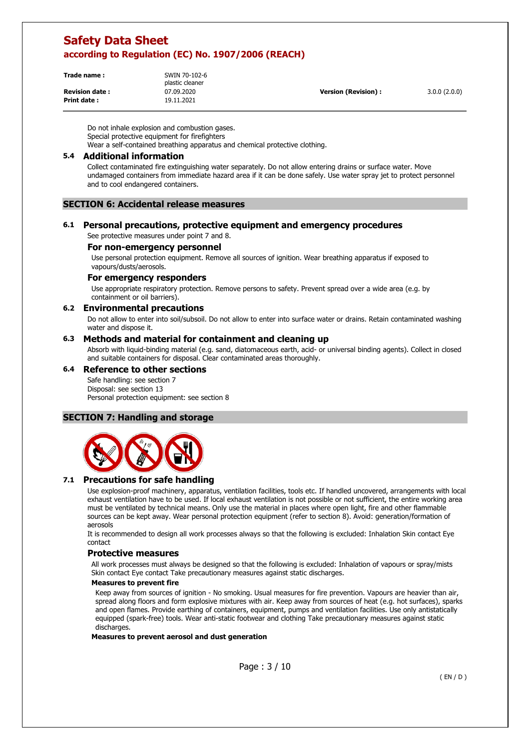| Trade name:           | SWIN 70-102-6<br>plastic cleaner |                            |              |
|-----------------------|----------------------------------|----------------------------|--------------|
| <b>Revision date:</b> | 07.09.2020                       | <b>Version (Revision):</b> | 3.0.0(2.0.0) |
| <b>Print date:</b>    | 19.11.2021                       |                            |              |

Do not inhale explosion and combustion gases. Special protective equipment for firefighters Wear a self-contained breathing apparatus and chemical protective clothing.

#### **5.4 Additional information**

Collect contaminated fire extinguishing water separately. Do not allow entering drains or surface water. Move undamaged containers from immediate hazard area if it can be done safely. Use water spray jet to protect personnel and to cool endangered containers.

#### **SECTION 6: Accidental release measures**

## **6.1 Personal precautions, protective equipment and emergency procedures**

See protective measures under point 7 and 8.

#### **For non-emergency personnel**

Use personal protection equipment. Remove all sources of ignition. Wear breathing apparatus if exposed to vapours/dusts/aerosols.

#### **For emergency responders**

Use appropriate respiratory protection. Remove persons to safety. Prevent spread over a wide area (e.g. by containment or oil barriers).

#### **6.2 Environmental precautions**

Do not allow to enter into soil/subsoil. Do not allow to enter into surface water or drains. Retain contaminated washing water and dispose it.

#### **6.3 Methods and material for containment and cleaning up**

Absorb with liquid-binding material (e.g. sand, diatomaceous earth, acid- or universal binding agents). Collect in closed and suitable containers for disposal. Clear contaminated areas thoroughly.

#### **6.4 Reference to other sections**

Safe handling: see section 7 Disposal: see section 13 Personal protection equipment: see section 8

#### **SECTION 7: Handling and storage**



#### **7.1 Precautions for safe handling**

Use explosion-proof machinery, apparatus, ventilation facilities, tools etc. If handled uncovered, arrangements with local exhaust ventilation have to be used. If local exhaust ventilation is not possible or not sufficient, the entire working area must be ventilated by technical means. Only use the material in places where open light, fire and other flammable sources can be kept away. Wear personal protection equipment (refer to section 8). Avoid: generation/formation of aerosols

It is recommended to design all work processes always so that the following is excluded: Inhalation Skin contact Eye contact

#### **Protective measures**

All work processes must always be designed so that the following is excluded: Inhalation of vapours or spray/mists Skin contact Eye contact Take precautionary measures against static discharges.

#### **Measures to prevent fire**

Keep away from sources of ignition - No smoking. Usual measures for fire prevention. Vapours are heavier than air, spread along floors and form explosive mixtures with air. Keep away from sources of heat (e.g. hot surfaces), sparks and open flames. Provide earthing of containers, equipment, pumps and ventilation facilities. Use only antistatically equipped (spark-free) tools. Wear anti-static footwear and clothing Take precautionary measures against static discharges.

#### **Measures to prevent aerosol and dust generation**

Page : 3 / 10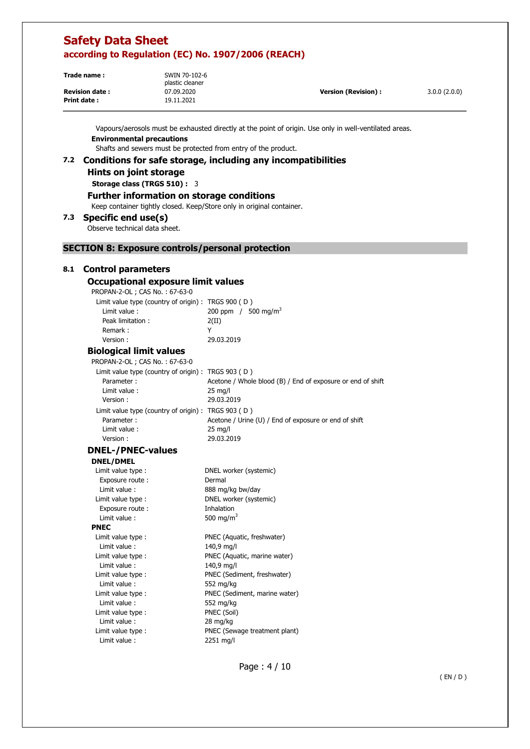| Trade name:           | SWIN 70-102-6<br>plastic cleaner |                            |              |
|-----------------------|----------------------------------|----------------------------|--------------|
| <b>Revision date:</b> | 07.09.2020                       | <b>Version (Revision):</b> | 3.0.0(2.0.0) |
| <b>Print date:</b>    | 19.11.2021                       |                            |              |

Vapours/aerosols must be exhausted directly at the point of origin. Use only in well-ventilated areas.

#### **Environmental precautions**

Shafts and sewers must be protected from entry of the product.

## **7.2 Conditions for safe storage, including any incompatibilities**

## **Hints on joint storage**

**Storage class (TRGS 510) :** 3

#### **Further information on storage conditions**

Keep container tightly closed. Keep/Store only in original container.

#### **7.3 Specific end use(s)**

Observe technical data sheet.

## **SECTION 8: Exposure controls/personal protection**

## **8.1 Control parameters**

| <b>Occupational exposure limit values</b>             |                                                             |
|-------------------------------------------------------|-------------------------------------------------------------|
| PROPAN-2-OL; CAS No.: 67-63-0                         |                                                             |
| Limit value type (country of origin) : TRGS $900$ (D) |                                                             |
| Limit value:                                          | 200 ppm $/$ 500 mg/m <sup>3</sup>                           |
| Peak limitation:                                      | 2(II)                                                       |
| Remark:                                               | Y                                                           |
| Version:                                              | 29.03.2019                                                  |
| <b>Biological limit values</b>                        |                                                             |
| PROPAN-2-OL; CAS No.: 67-63-0                         |                                                             |
| Limit value type (country of origin) : TRGS $903$ (D) |                                                             |
| Parameter:                                            | Acetone / Whole blood (B) / End of exposure or end of shift |
| Limit value:                                          | $25 \text{ mg/l}$                                           |
| Version:                                              | 29.03.2019                                                  |
| Limit value type (country of origin) : TRGS $903$ (D) |                                                             |
| Parameter:                                            | Acetone / Urine (U) / End of exposure or end of shift       |
| Limit value:                                          | $25 \text{ mg/l}$                                           |
| Version:                                              | 29.03.2019                                                  |
| <b>DNEL-/PNEC-values</b>                              |                                                             |

# **DNEL/DMEL**

| Limit value type : | DNEL worker (systemic)        |
|--------------------|-------------------------------|
| Exposure route:    | Dermal                        |
| Limit value:       | 888 mg/kg bw/day              |
| Limit value type:  | DNEL worker (systemic)        |
| Exposure route:    | Inhalation                    |
| Limit value:       | 500 mg/m <sup>3</sup>         |
| PNEC               |                               |
| Limit value type : | PNEC (Aquatic, freshwater)    |
| Limit value:       | 140,9 mg/l                    |
| Limit value type : | PNEC (Aquatic, marine water)  |
| Limit value:       | 140,9 mg/l                    |
| Limit value type:  | PNEC (Sediment, freshwater)   |
| Limit value:       | 552 mg/kg                     |
| Limit value type : | PNEC (Sediment, marine water) |
| Limit value:       | 552 mg/kg                     |
| Limit value type:  | PNEC (Soil)                   |
| Limit value :      | 28 mg/kg                      |
| Limit value type:  | PNEC (Sewage treatment plant) |
| Limit value:       | 2251 mg/l                     |

Page : 4 / 10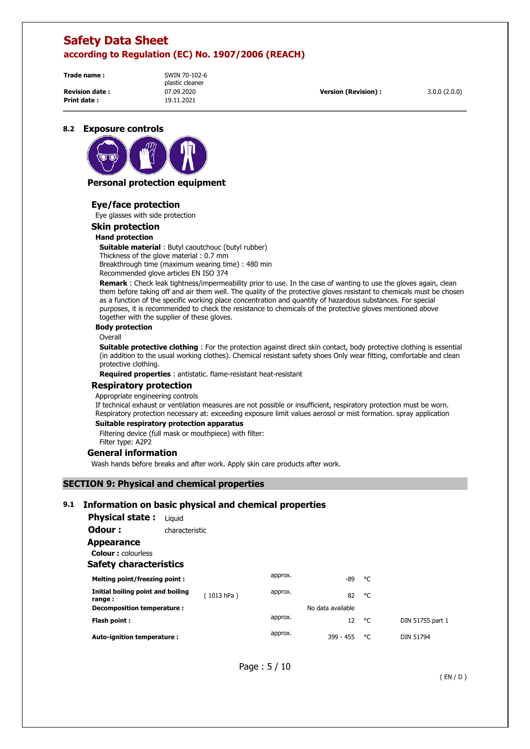**Trade name :** SWIN 70-102-6

**Print date :** 19.11.2021

plastic cleaner

**Revision date :** 07.09.2020 **Version (Revision) :** 3.0.0 (2.0.0)

#### **8.2 Exposure controls**



## **Personal protection equipment**

## **Eye/face protection**

Eye glasses with side protection

## **Skin protection**

## **Hand protection**

**Suitable material** : Butyl caoutchouc (butyl rubber) Thickness of the glove material : 0.7 mm Breakthrough time (maximum wearing time) : 480 min Recommended glove articles EN ISO 374

**Remark** : Check leak tightness/impermeability prior to use. In the case of wanting to use the gloves again, clean them before taking off and air them well. The quality of the protective gloves resistant to chemicals must be chosen as a function of the specific working place concentration and quantity of hazardous substances. For special purposes, it is recommended to check the resistance to chemicals of the protective gloves mentioned above together with the supplier of these gloves.

#### **Body protection**

#### Overall

**Suitable protective clothing** : For the protection against direct skin contact, body protective clothing is essential (in addition to the usual working clothes). Chemical resistant safety shoes Only wear fitting, comfortable and clean protective clothing.

**Required properties** : antistatic. flame-resistant heat-resistant

#### **Respiratory protection**

Appropriate engineering controls

If technical exhaust or ventilation measures are not possible or insufficient, respiratory protection must be worn. Respiratory protection necessary at: exceeding exposure limit values aerosol or mist formation. spray application **Suitable respiratory protection apparatus** 

Filtering device (full mask or mouthpiece) with filter:

Filter type: A2P2

#### **General information**

Wash hands before breaks and after work. Apply skin care products after work.

#### **SECTION 9: Physical and chemical properties**

## **9.1 Information on basic physical and chemical properties**

**Physical state :** Liquid

**Odour :** characteristic

#### **Appearance**

**Colour :** colourless

#### **Safety characteristics**

| Melting point/freezing point:               |             | approx. | -89               | °C |                  |
|---------------------------------------------|-------------|---------|-------------------|----|------------------|
| Initial boiling point and boiling<br>range: | $1013$ hPa) | approx. | 82                | °C |                  |
| Decomposition temperature :                 |             |         | No data available |    |                  |
| Flash point :                               |             | approx. | 12                | °C | DIN 51755 part 1 |
| Auto-ignition temperature :                 |             | approx. | $399 - 455$       | °C | DIN 51794        |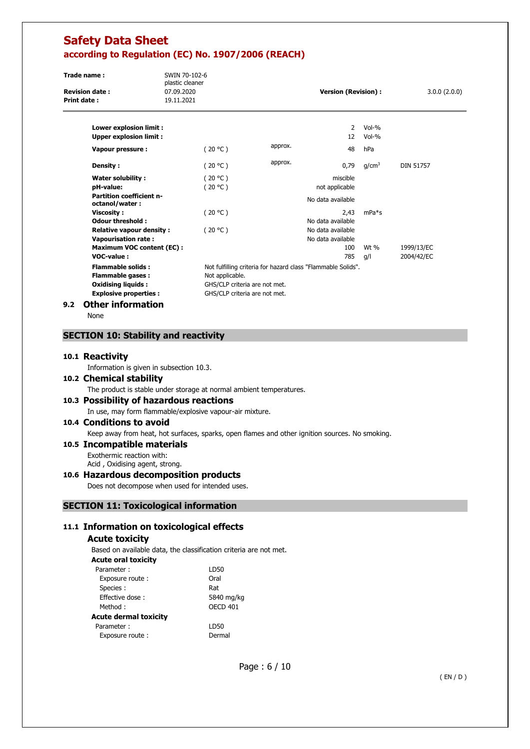| Trade name:<br><b>Revision date:</b><br><b>Print date:</b>                                                       | SWIN 70-102-6<br>plastic cleaner<br>07.09.2020<br>19.11.2021 |                                                                                   | <b>Version (Revision):</b>                                   |                     | 3.0.0(2.0.0)             |
|------------------------------------------------------------------------------------------------------------------|--------------------------------------------------------------|-----------------------------------------------------------------------------------|--------------------------------------------------------------|---------------------|--------------------------|
| Lower explosion limit :<br><b>Upper explosion limit:</b>                                                         |                                                              |                                                                                   | 2<br>12                                                      | $Vol-%$<br>$Vol-96$ |                          |
| Vapour pressure :                                                                                                | (20 °C)                                                      | approx.                                                                           | 48                                                           | hPa                 |                          |
| Density:                                                                                                         | (20 °C)                                                      | approx.                                                                           | 0,79                                                         | q/cm <sup>3</sup>   | <b>DIN 51757</b>         |
| <b>Water solubility:</b><br>pH-value:<br><b>Partition coefficient n-</b>                                         | (20 °C )<br>(20 °C)                                          |                                                                                   | miscible<br>not applicable                                   |                     |                          |
| octanol/water:<br><b>Viscosity:</b>                                                                              | (20 °C)                                                      |                                                                                   | No data available<br>2.43                                    | $mPa*$ s            |                          |
| <b>Odour threshold:</b><br><b>Relative vapour density:</b><br><b>Vapourisation rate:</b>                         | (20 °C)                                                      |                                                                                   | No data available<br>No data available<br>No data available  |                     |                          |
| <b>Maximum VOC content (EC):</b><br><b>VOC-value:</b>                                                            |                                                              |                                                                                   | 100<br>785                                                   | Wt $%$<br>g/l       | 1999/13/EC<br>2004/42/EC |
| <b>Flammable solids:</b><br><b>Flammable gases:</b><br><b>Oxidising liquids:</b><br><b>Explosive properties:</b> |                                                              | Not applicable.<br>GHS/CLP criteria are not met.<br>GHS/CLP criteria are not met. | Not fulfilling criteria for hazard class "Flammable Solids". |                     |                          |

#### **9.2 Other information**

None

## **SECTION 10: Stability and reactivity**

#### **10.1 Reactivity**

Information is given in subsection 10.3.

## **10.2 Chemical stability**

The product is stable under storage at normal ambient temperatures.

#### **10.3 Possibility of hazardous reactions**

In use, may form flammable/explosive vapour-air mixture.

#### **10.4 Conditions to avoid**

Keep away from heat, hot surfaces, sparks, open flames and other ignition sources. No smoking.

## **10.5 Incompatible materials**

Exothermic reaction with:

Acid , Oxidising agent, strong.

## **10.6 Hazardous decomposition products**

Does not decompose when used for intended uses.

## **SECTION 11: Toxicological information**

## **11.1 Information on toxicological effects**

## **Acute toxicity**

Based on available data, the classification criteria are not met.

#### **Acute oral toxicity**

| Parameter:                   | LD50                |
|------------------------------|---------------------|
| Exposure route:              | Oral                |
| Species :                    | Rat                 |
| Effective dose:              | 5840 mg/kg          |
| Method:                      | OECD <sub>401</sub> |
| <b>Acute dermal toxicity</b> |                     |
| Parameter:                   | LD50                |
| Exposure route:              | Dermal              |

Page : 6 / 10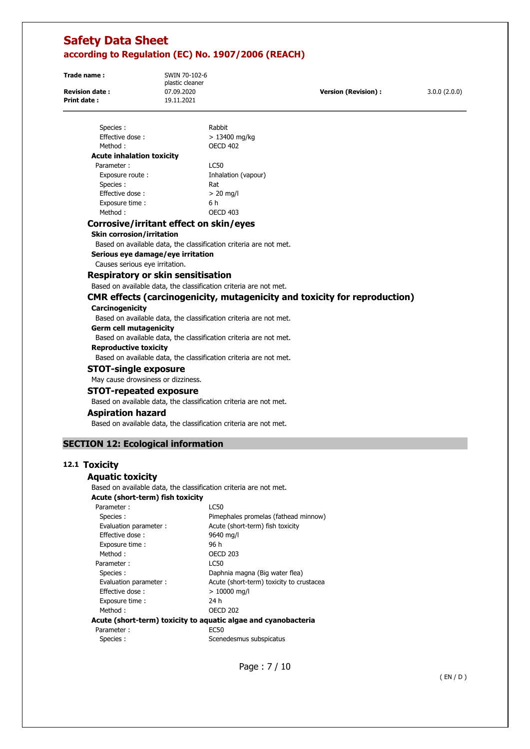**Trade name :** SWIN 70-102-6 plastic cleaner **Revision date :** 07.09.2020 **Version (Revision) :** 3.0.0 (2.0.0) **Print date :** 19.11.2021

| Species:                               | Rabbit                                                            |
|----------------------------------------|-------------------------------------------------------------------|
| Effective dose:                        | $>13400$ mg/kg                                                    |
| Method:                                | <b>OECD 402</b>                                                   |
| <b>Acute inhalation toxicity</b>       |                                                                   |
| Parameter:                             | LC50                                                              |
| Exposure route:                        | Inhalation (vapour)                                               |
| Species:                               | Rat                                                               |
| Effective dose:                        | $> 20$ mg/l                                                       |
| Exposure time:                         | 6 h                                                               |
| Method:                                | <b>OECD 403</b>                                                   |
| Corrosive/irritant effect on skin/eyes |                                                                   |
| <b>Skin corrosion/irritation</b>       |                                                                   |
|                                        | Based on available data, the classification criteria are not met. |
| Serious eye damage/eye irritation      |                                                                   |
| Causes serious eye irritation.         |                                                                   |
| Respiratory or skin sensitisation      |                                                                   |
|                                        | Based on available data, the classification criteria are not met. |

## **CMR effects (carcinogenicity, mutagenicity and toxicity for reproduction)**

#### **Carcinogenicity**

Based on available data, the classification criteria are not met.

#### **Germ cell mutagenicity**

Based on available data, the classification criteria are not met.

# **Reproductive toxicity**

Based on available data, the classification criteria are not met.

## **STOT-single exposure**

May cause drowsiness or dizziness.

## **STOT-repeated exposure**

Based on available data, the classification criteria are not met.

## **Aspiration hazard**

Based on available data, the classification criteria are not met.

## **SECTION 12: Ecological information**

#### **12.1 Toxicity**

## **Aquatic toxicity**

Based on available data, the classification criteria are not met.

| Acute (short-term) fish toxicity                               |                                          |  |
|----------------------------------------------------------------|------------------------------------------|--|
| Parameter:                                                     | LC50                                     |  |
| Species :                                                      | Pimephales promelas (fathead minnow)     |  |
| Evaluation parameter :                                         | Acute (short-term) fish toxicity         |  |
| Effective dose:                                                | 9640 mg/l                                |  |
| Exposure time :                                                | 96 h                                     |  |
| Method:                                                        | <b>OECD 203</b>                          |  |
| Parameter:                                                     | LC50                                     |  |
| Species :                                                      | Daphnia magna (Big water flea)           |  |
| Evaluation parameter :                                         | Acute (short-term) toxicity to crustacea |  |
| Effective dose:                                                | $> 10000$ mg/l                           |  |
| Exposure time :                                                | 24 h                                     |  |
| Method :                                                       | <b>OECD 202</b>                          |  |
| Acute (short-term) toxicity to aquatic algae and cyanobacteria |                                          |  |
| Parameter:                                                     | EC50                                     |  |
| Species :                                                      | Scenedesmus subspicatus                  |  |
|                                                                |                                          |  |

Page : 7 / 10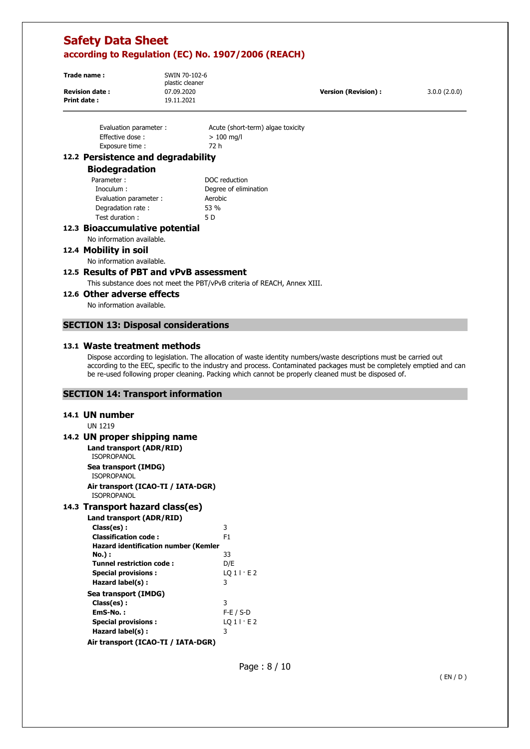| Trade name:           | SWIN 70-102-6<br>plastic cleaner |                      |              |
|-----------------------|----------------------------------|----------------------|--------------|
| <b>Revision date:</b> | 07.09.2020                       | Version (Revision) : | 3.0.0(2.0.0) |
| Print date:           | 19.11.2021                       |                      |              |

| Evaluation parameter: | Acute (short-term) algae toxicity |
|-----------------------|-----------------------------------|
| Effective dose:       | $>100$ ma/l                       |
| Exposure time:        | 72 h                              |

# **12.2 Persistence and degradability**

# **Biodegradation**

| Parameter:             | DOC reduction         |
|------------------------|-----------------------|
| Inoculum:              | Degree of elimination |
| Evaluation parameter : | Aerobic               |
| Degradation rate:      | 53 %                  |
| Test duration:         | 5 D                   |
|                        |                       |

# **12.3 Bioaccumulative potential**

No information available.

## **12.4 Mobility in soil**

No information available.

## **12.5 Results of PBT and vPvB assessment**

This substance does not meet the PBT/vPvB criteria of REACH, Annex XIII.

## **12.6 Other adverse effects**

No information available.

## **SECTION 13: Disposal considerations**

## **13.1 Waste treatment methods**

Dispose according to legislation. The allocation of waste identity numbers/waste descriptions must be carried out according to the EEC, specific to the industry and process. Contaminated packages must be completely emptied and can be re-used following proper cleaning. Packing which cannot be properly cleaned must be disposed of.

## **SECTION 14: Transport information**

## **14.1 UN number**

UN 1219

## **14.2 UN proper shipping name**

**Land transport (ADR/RID) ISOPROPANOL Sea transport (IMDG)**  ISOPROPANOL **Air transport (ICAO-TI / IATA-DGR)**  ISOPROPANOL

# **14.3 Transport hazard class(es)**

| Land transport (ADR/RID)                    |             |
|---------------------------------------------|-------------|
| Class(es):                                  | 3           |
| <b>Classification code:</b>                 | F1          |
| <b>Hazard identification number (Kemler</b> |             |
| <b>No.</b> ) :                              | 33          |
| Tunnel restriction code :                   | D/E         |
| <b>Special provisions:</b>                  | LO 11 E2    |
| Hazard label(s):                            | 3           |
| Sea transport (IMDG)                        |             |
| Class(es):                                  | 3           |
| EmS-No.:                                    | $F-E / S-D$ |
| <b>Special provisions:</b>                  | LO 11 E2    |
| Hazard label(s):                            | 3           |
| Air transport (ICAO-TI / IATA-DGR)          |             |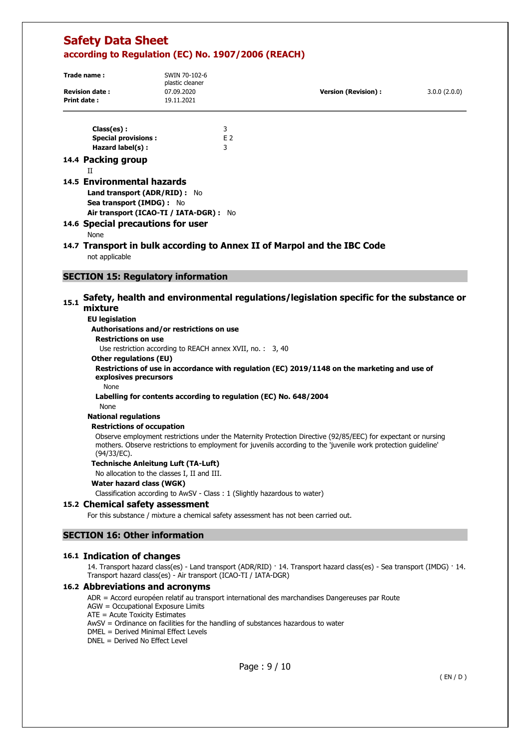| Trade name:           | SWIN 70-102-6<br>plastic cleaner |                      |              |
|-----------------------|----------------------------------|----------------------|--------------|
| <b>Revision date:</b> | 07.09.2020                       | Version (Revision) : | 3.0.0(2.0.0) |
| Print date :          | 19.11.2021                       |                      |              |

| Class(es):                 | 3              |
|----------------------------|----------------|
| <b>Special provisions:</b> | F <sub>2</sub> |
| Hazard $label(s)$ :        | 3              |
| 14.4 Packing group         |                |

#### II

#### **14.5 Environmental hazards**

**Land transport (ADR/RID) :** No **Sea transport (IMDG) :** No **Air transport (ICAO-TI / IATA-DGR) :** No

## **14.6 Special precautions for user**

- None
- **14.7 Transport in bulk according to Annex II of Marpol and the IBC Code**  not applicable

## **SECTION 15: Regulatory information**

# **15.1 Safety, health and environmental regulations/legislation specific for the substance or mixture**

#### **EU legislation**

**Authorisations and/or restrictions on use** 

#### **Restrictions on use**

Use restriction according to REACH annex XVII, no. : 3, 40

#### **Other regulations (EU)**

#### **Restrictions of use in accordance with regulation (ЕС) 2019/1148 on the marketing and use of explosives precursors**

## None

**Labelling for contents according to regulation (EC) No. 648/2004** 

## None

# **National regulations**

**Restrictions of occupation** 

Observe employment restrictions under the Maternity Protection Directive (92/85/EEC) for expectant or nursing mothers. Observe restrictions to employment for juvenils according to the 'juvenile work protection guideline' (94/33/EC).

#### **Technische Anleitung Luft (TA-Luft)**

No allocation to the classes I, II and III.

#### **Water hazard class (WGK)**

Classification according to AwSV - Class : 1 (Slightly hazardous to water)

#### **15.2 Chemical safety assessment**

For this substance / mixture a chemical safety assessment has not been carried out.

## **SECTION 16: Other information**

#### **16.1 Indication of changes**

14. Transport hazard class(es) - Land transport (ADR/RID) · 14. Transport hazard class(es) - Sea transport (IMDG) · 14. Transport hazard class(es) - Air transport (ICAO-TI / IATA-DGR)

#### **16.2 Abbreviations and acronyms**

ADR = Accord européen relatif au transport international des marchandises Dangereuses par Route

- AGW = Occupational Exposure Limits
- ATE = Acute Toxicity Estimates
- AwSV = Ordinance on facilities for the handling of substances hazardous to water
- DMEL = Derived Minimal Effect Levels
- DNEL = Derived No Effect Level